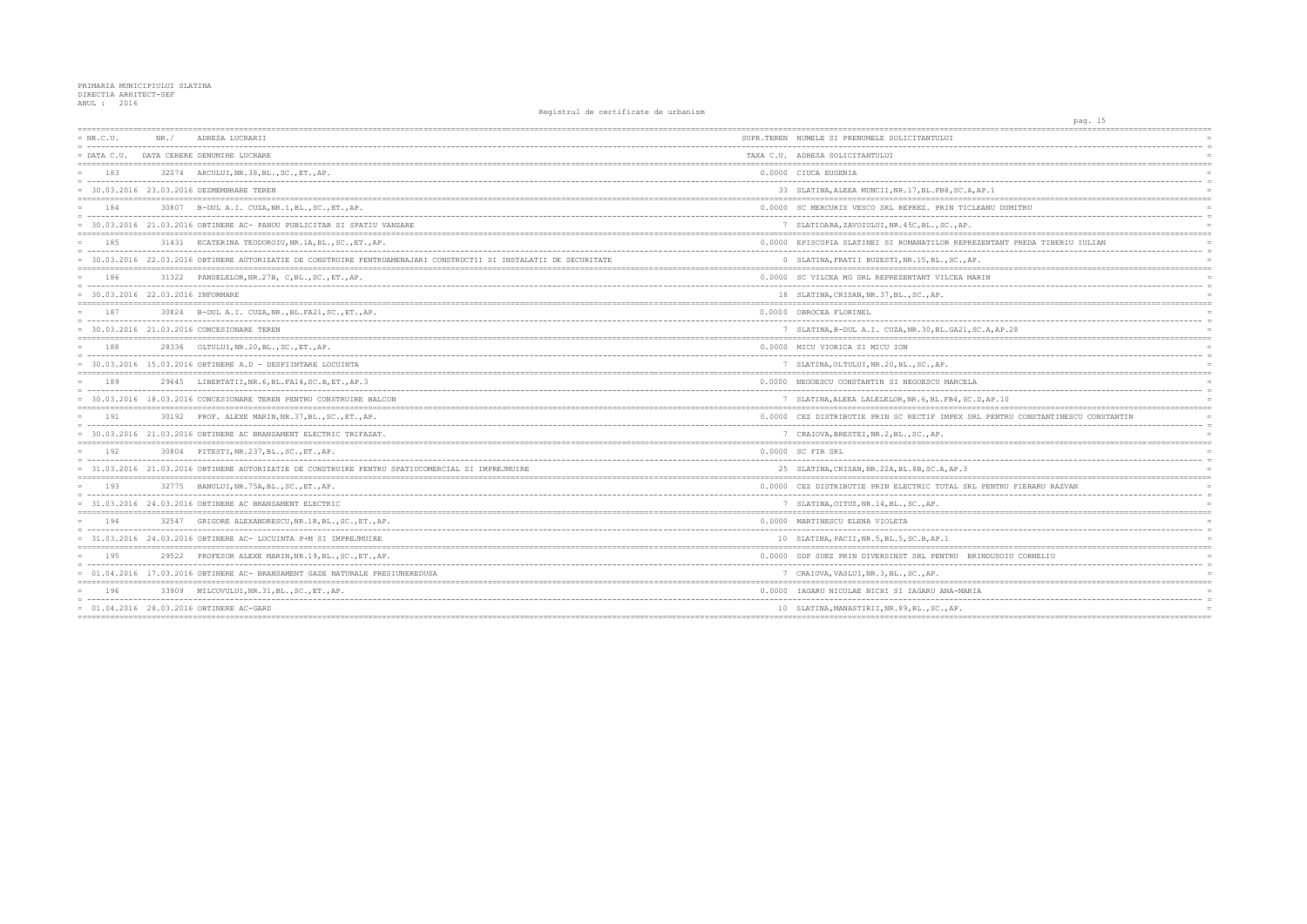## PRIMARIA MUNICIPIULUI SLATINA<br>DIRECTIA ARHITECT-SEF<br>ANUL : 2016

| $= NR.C.U.$                       | NR. / | ADRESA LUCRARII                                                                                                    | SUPR.TEREN NUMELE SI PRENUMELE SOLICITANTULUI           |
|-----------------------------------|-------|--------------------------------------------------------------------------------------------------------------------|---------------------------------------------------------|
| $=$ DATA C.U.                     |       | DATA CERERE DENUMIRE LUCRARE                                                                                       | TAXA C.U. ADRESA SOLICITANTULUI                         |
| 183                               |       | 32074 ARCULUI, NR.38, BL., SC., ET., AP.                                                                           | 0.0000 CIUCA EUGENIA                                    |
|                                   |       | = 30.03.2016 23.03.2016 DEZMEMBRARE TEREN                                                                          | 33 SLATINA, ALEEA MUNCII, NR. 17, BL. FB8, SC. A, AP. 1 |
| 184                               |       | 30807 B-DUL A.I. CUZA, NR.1, BL., SC., ET., AP.                                                                    | 0.0000 SC MERCURIS VESCO SRL REPREZ. PRIN TICLEANU      |
|                                   |       | 30.03.2016 21.03.2016 OBTINERE AC- PANOU PUBLICITAR SI SPATIU VANZARE                                              | 7 SLATIOARA, ZAVOIULUI, NR. 45C, BL., SC., AP.          |
| 185                               |       | 31431 ECATERINA TEODOROIU, NR. 1A, BL., SC., ET., AP.                                                              | 0.0000 EPISCOPIA SLATINEI SI ROMANATILOR REPREZENT      |
|                                   |       | = 30.03.2016 22.03.2016 OBTINERE AUTORIZATIE DE CONSTRUIRE PENTRUAMENAJARI CONSTRUCTII SI INSTALATII DE SECURITATE | 0 SLATINA, FRATII BUZESTI, NR. 15, BL., SC., AP.        |
| 186                               | 31322 | PANSELELOR, NR. 27B, C, BL., SC., ET., AP.                                                                         | 0.0000 SC VILCEA MG SRL REPREZENTANT VILCEA MARIN       |
| = 30.03.2016 22.03.2016 INFORMARE |       |                                                                                                                    | 18 SLATINA, CRISAN, NR. 37, BL., SC., AP.               |
| 187                               |       | 30824 B-DUL A.I. CUZA, NR., BL. FA21, SC., ET., AP.                                                                | 0.0000 OBROCEA FLORINEL                                 |
|                                   |       | = 30.03.2016 21.03.2016 CONCESIONARE TEREN                                                                         | 7 SLATINA, B-DUL A.I. CUZA, NR.30, BL.GA21, SC.A,       |
| 188                               |       | 28336 OLTULUI, NR. 20, BL., SC., ET., AP.                                                                          | 0.0000 MICU VIORICA SI MICU ION                         |
|                                   |       | $= 30.03.2016$ 15.03.2016 OBTINERE A.D - DESFIINTARE LOCUINTA                                                      | 7 SLATINA, OLTULUI, NR. 20, BL., SC., AP.               |
| 189                               | 29645 | LIBERTATII, NR. 6, BL. FA14, SC. B, ET., AP. 3                                                                     | 0.0000 NEGOESCU CONSTANTIN SI NEGOESCU MARCELA          |
|                                   |       | = 30.03.2016 18.03.2016 CONCESIONARE TEREN PENTRU CONSTRUIRE BALCON                                                | 7 SLATINA, ALEEA LALELELOR, NR. 6, BL. FB4, SC. D, AP   |
| 191                               |       | 30192 PROF. ALEXE MARIN, NR. 37, BL., SC., ET., AP.                                                                | 0.0000 CEZ DISTRIBUTIE PRIN SC RECTIF IMPEX SRL PE      |
|                                   |       | = 30.03.2016 21.03.2016 OBTINERE AC BRANSAMENT ELECTRIC TRIFAZAT.                                                  | 7 CRAIOVA, BRESTEI, NR.2, BL., SC., AP.                 |
| 192                               |       | 30804 PITESTI, NR. 237, BL., SC., ET., AP.                                                                         | 0.0000 SC FIR SRL                                       |
|                                   |       | = 31.03.2016 21.03.2016 OBTINERE AUTORIZATIE DE CONSTRUIRE PENTRU SPATIUCOMERCIAL SI IMPREJMUIRE                   | 25 SLATINA, CRISAN, NR. 22A, BL. 8B, SC. A, AP. 3       |
| 193                               |       | 32775 BANULUI, NR. 75A, BL., SC., ET., AP.                                                                         | 0.0000 CEZ DISTRIBUTIE PRIN ELECTRIC TOTAL SRL PEN      |
|                                   |       | 31.03.2016 24.03.2016 OBTINERE AC BRANSAMENT ELECTRIC                                                              | 7 SLATINA, OITUZ, NR. 14, BL., SC., AP.                 |
| 194                               | 32547 | GRIGORE ALEXANDRESCU, NR. 1R, BL., SC., ET., AP.                                                                   | 0.0000 MARTINESCU ELENA VIOLETA                         |
|                                   |       | $= 31.03.2016$ 24.03.2016 OBTINERE AC- LOCUINTA P+M SI IMPREJMUIRE                                                 | 10 SLATINA, PACII, NR. 5, BL. 5, SC. B, AP. 1           |
| 195                               | 29522 | PROFESOR ALEXE MARIN, NR. 19, BL., SC., ET., AP.                                                                   | 0.0000 GDF SUEZ PRIN DIVERSINST SRL PENTRU BRINDU       |
|                                   |       | = 01.04.2016 17.03.2016 OBTINERE AC- BRANSAMENT GAZE NATURALE PRESIUNEREDUSA                                       | 7 CRAIOVA, VASLUI, NR. 3, BL., SC., AP.                 |
| 196                               |       | 33909 MILCOVULUI, NR.31, BL., SC., ET., AP.                                                                        | 0.0000 IAGARU NICOLAE NICHI SI IAGARU ANA-MARIA         |
|                                   |       | 01.04.2016 28.03.2016 OBTINERE AC-GARD                                                                             | 10 SLATINA, MANASTIRII, NR. 89, BL., SC., AP.           |
|                                   |       |                                                                                                                    |                                                         |

|                                                                     | pag. 15 |  |              |            |
|---------------------------------------------------------------------|---------|--|--------------|------------|
|                                                                     |         |  |              |            |
|                                                                     |         |  |              | $\equiv$   |
|                                                                     |         |  |              | $=$        |
| ======                                                              |         |  | ==========   | $=$        |
|                                                                     |         |  |              | $=$        |
| AP.1                                                                |         |  |              |            |
|                                                                     |         |  |              |            |
| EANU DUMITRU                                                        |         |  |              | $=$        |
|                                                                     |         |  |              | $=$        |
|                                                                     |         |  |              | $=$        |
| -----------------------------------<br>ZENTANT PREDA TIBERIU IULIAN |         |  |              | $=$        |
|                                                                     |         |  |              | $=$        |
|                                                                     |         |  |              |            |
| ---------------------------------                                   |         |  | ==========   |            |
| RΙN                                                                 |         |  |              | $=$        |
|                                                                     |         |  |              | $=$<br>$=$ |
|                                                                     |         |  |              |            |
|                                                                     |         |  |              | $=$        |
|                                                                     |         |  |              | $=$        |
| , A, AP.28                                                          |         |  |              | $=$        |
|                                                                     |         |  |              |            |
|                                                                     |         |  |              | $=$        |
|                                                                     |         |  |              |            |
|                                                                     |         |  |              | $=$        |
|                                                                     |         |  |              | $=$        |
| ),AP.10                                                             |         |  |              | $=$        |
| $:=$                                                                |         |  |              |            |
| L PENTRU CONSTANTINESCU CONSTANTIN                                  |         |  |              |            |
|                                                                     |         |  |              | $\equiv$   |
| =======                                                             |         |  |              | $=$<br>$=$ |
|                                                                     |         |  |              | $=$        |
|                                                                     |         |  |              | $=$        |
|                                                                     |         |  |              |            |
| PENTRU FIERARU RAZVAN                                               |         |  |              |            |
|                                                                     |         |  |              | $=$        |
|                                                                     |         |  |              | $=$        |
| =======<br>:==================                                      |         |  | ====         |            |
|                                                                     |         |  |              |            |
|                                                                     |         |  |              | $=$<br>$=$ |
|                                                                     |         |  |              |            |
| INDUSOIU CORNELIU                                                   |         |  |              | $=$        |
|                                                                     |         |  |              | $=$        |
| ========                                                            |         |  | ------------ |            |
| J.                                                                  |         |  |              |            |
|                                                                     |         |  |              | $=$        |
|                                                                     |         |  |              | $=$        |
|                                                                     |         |  |              |            |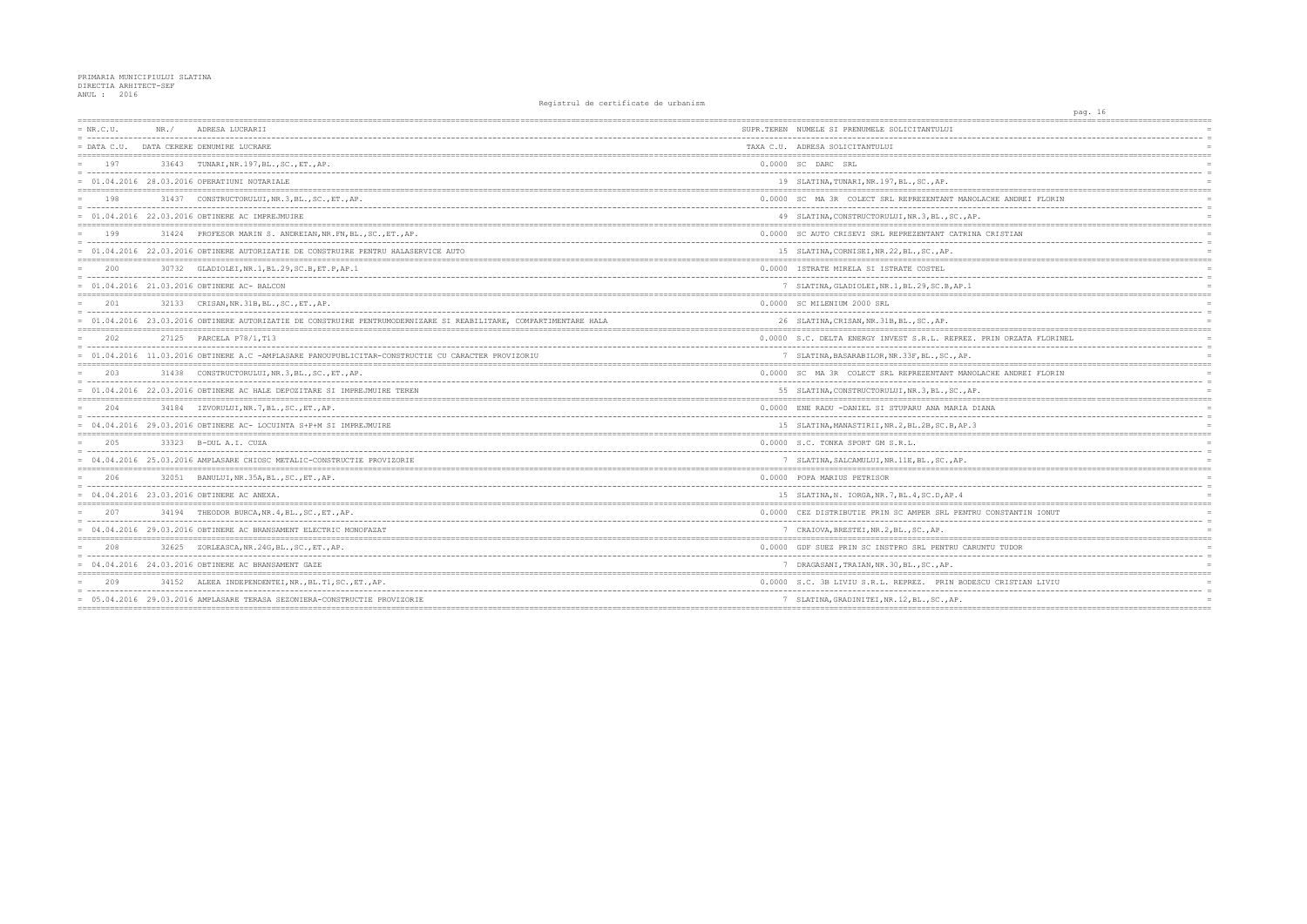## PRIMARIA MUNICIPIULUI SLATINA<br>DIRECTIA ARHITECT-SEF<br>ANUL : 2016

| $= NR.C.U.$   | NR. / | ADRESA LUCRARII                                                                                                 | SUPR.TEREN NUMELE SI PRENUMELE SOLICITANTULUI       |
|---------------|-------|-----------------------------------------------------------------------------------------------------------------|-----------------------------------------------------|
| $=$ DATA C.U. |       | DATA CERERE DENUMIRE LUCRARE                                                                                    | TAXA C.U. ADRESA SOLICITANTULUI                     |
| 197           |       | 33643 TUNARI, NR. 197, BL., SC., ET., AP.                                                                       | 0.0000 SC DARC SRL                                  |
|               |       | = 01.04.2016 28.03.2016 OPERATIUNI NOTARIALE                                                                    | 19 SLATINA, TUNARI, NR. 197, BL., SC., AP.          |
| 198           | 31437 | CONSTRUCTORULUI, NR.3, BL., SC., ET., AP.                                                                       | 0.0000 SC MA 3R COLECT SRL REPREZENTANT MANOLAG     |
|               |       | = 01.04.2016 22.03.2016 OBTINERE AC IMPREJMUIRE                                                                 | 49 SLATINA, CONSTRUCTORULUI, NR.3, BL., SC., AP.    |
| 199           |       | 31424 PROFESOR MARIN S. ANDREIAN, NR. FN, BL., SC., ET., AP.                                                    | 0.0000 SC AUTO CRISEVI SRL REPREZENTANT CATRINA (   |
|               |       | = 01.04.2016 22.03.2016 OBTINERE AUTORIZATIE DE CONSTRUIRE PENTRU HALASERVICE AUTO                              | 15 SLATINA, CORNISEI, NR. 22, BL., SC., AP.         |
| 200           |       | 30732 GLADIOLEI, NR.1, BL.29, SC.B, ET.P, AP.1                                                                  | 0.0000 ISTRATE MIRELA SI ISTRATE COSTEL             |
|               |       | $= 01.04.2016 21.03.2016$ OBTINERE AC-BALCON                                                                    | 7 SLATINA, GLADIOLEI, NR.1, BL.29, SC.B, AP.1       |
| 2.01          |       | 32133 CRISAN, NR. 31B, BL., SC., ET., AP.                                                                       | 0.0000 SC MILENIUM 2000 SRL                         |
|               |       | 01.04.2016 23.03.2016 OBTINERE AUTORIZATIE DE CONSTRUIRE PENTRUMODERNIZARE SI REABILITARE, COMPARTIMENTARE HALA | 26 SLATINA, CRISAN, NR. 31B, BL., SC., AP.          |
| 2.02          |       | 27125 PARCELA P78/1, T13                                                                                        | 0.0000 S.C. DELTA ENERGY INVEST S.R.L. REPREZ. PI   |
|               |       | = 01.04.2016 11.03.2016 OBTINERE A.C -AMPLASARE PANOUPUBLICITAR-CONSTRUCTIE CU CARACTER PROVIZORIU              | 7 SLATINA, BASARABILOR, NR. 33F, BL., SC., AP.      |
| 203           | 31438 | CONSTRUCTORULUI, NR.3, BL., SC., ET., AP.                                                                       | 0.0000 SC MA 3R COLECT SRL REPREZENTANT MANOLAG     |
|               |       | = 01.04.2016 22.03.2016 OBTINERE AC HALE DEPOZITARE SI IMPREJMUIRE TEREN                                        | 55 SLATINA, CONSTRUCTORULUI, NR. 3, BL., SC., AP.   |
| 204           |       | 34184 IZVORULUI, NR. 7, BL., SC., ET., AP.                                                                      | 0.0000 ENE RADU -DANIEL SI STUPARU ANA MARIA DIAN   |
|               |       | 04.04.2016 29.03.2016 OBTINERE AC- LOCUINTA S+P+M SI IMPREJMUIRE                                                | 15 SLATINA, MANASTIRII, NR. 2, BL. 2B, SC. B, AP. 3 |
| 205           |       | 33323 B-DUL A.I. CUZA                                                                                           | 0.0000 S.C. TONKA SPORT GM S.R.L.                   |
|               |       | = 04.04.2016 25.03.2016 AMPLASARE CHIOSC METALIC-CONSTRUCTIE PROVIZORIE                                         | 7 SLATINA, SALCAMULUI, NR. 11E, BL., SC., AP.       |
| 206           |       | 32051 BANULUI, NR. 35A, BL., SC., ET., AP.                                                                      | 0.0000 POPA MARIUS PETRISOR                         |
|               |       | = 04.04.2016 23.03.2016 OBTINERE AC ANEXA.                                                                      | 15 SLATINA, N. IORGA, NR. 7, BL. 4, SC. D, AP. 4    |
| 207           |       | 34194 THEODOR BURCA, NR. 4, BL., SC., ET., AP.                                                                  | 0.0000 CEZ DISTRIBUTIE PRIN SC AMPER SRL PENTRU (   |
|               |       | = 04.04.2016 29.03.2016 OBTINERE AC BRANSAMENT ELECTRIC MONOFAZAT                                               | 7 CRAIOVA, BRESTEI, NR.2, BL., SC., AP.             |
| 208           |       | 32625 ZORLEASCA, NR. 24G, BL., SC., ET., AP.                                                                    | 0.0000 GDF SUEZ PRIN SC INSTPRO SRL PENTRU CARUNT   |
|               |       | = 04.04.2016 24.03.2016 OBTINERE AC BRANSAMENT GAZE                                                             | 7 DRAGASANI, TRAIAN, NR. 30, BL., SC., AP.          |
| 209           |       | 34152 ALEEA INDEPENDENTEI, NR., BL.T1, SC., ET., AP.                                                            | 0.0000 S.C. 3B LIVIU S.R.L. REPREZ. PRIN BODESCU    |
|               |       | = 05.04.2016 29.03.2016 AMPLASARE TERASA SEZONIERA-CONSTRUCTIE PROVIZORIE                                       | 7 SLATINA, GRADINITEI, NR. 12, BL., SC., AP.        |
|               |       |                                                                                                                 |                                                     |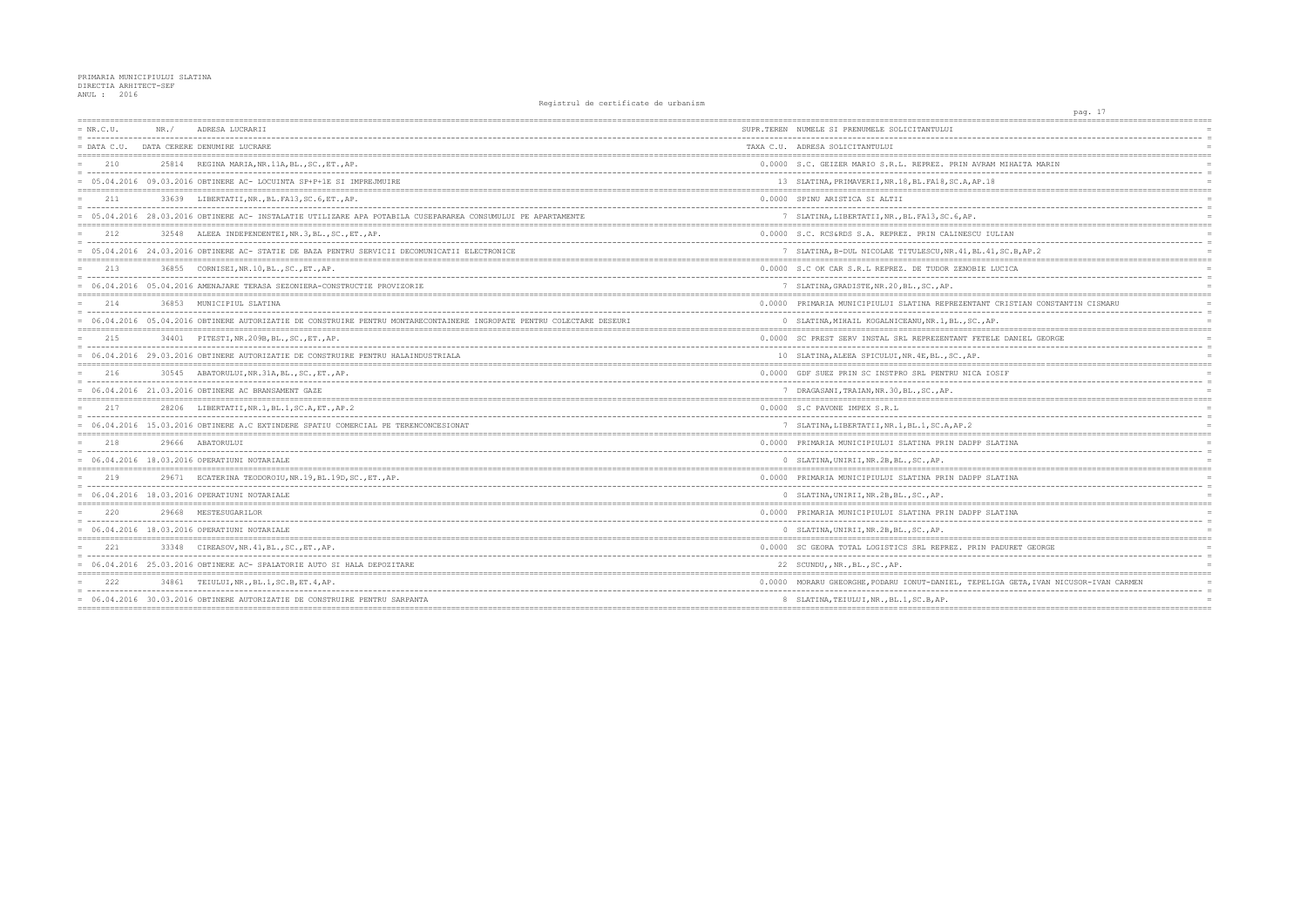| $= NR.C.U.$   | NR. / | ADRESA LUCRARII                                                                                                      | SUPR.TEREN NUMELE SI PRENUMELE SOLICITANTULUI        |
|---------------|-------|----------------------------------------------------------------------------------------------------------------------|------------------------------------------------------|
| $=$ DATA C.U. |       | DATA CERERE DENUMIRE LUCRARE                                                                                         | TAXA C.U. ADRESA SOLICITANTULUI                      |
| 210           |       | 25814 REGINA MARIA, NR.11A, BL., SC., ET., AP.                                                                       | 0.0000 S.C. GEIZER MARIO S.R.L. REPREZ. PRIN AVR     |
|               |       | = 05.04.2016 09.03.2016 OBTINERE AC- LOCUINTA SP+P+1E SI IMPREJMUIRE                                                 | 13 SLATINA, PRIMAVERII, NR. 18, BL. FA18, SC. A, AP. |
| 211           |       | 33639 LIBERTATII, NR., BL. FA13, SC. 6, ET., AP.                                                                     | 0.0000 SPINU ARISTICA SI ALTII                       |
|               |       | 05.04.2016 28.03.2016 OBTINERE AC- INSTALATIE UTILIZARE APA POTABILA CUSEPARAREA CONSUMULUI PE APARTAMENTE           | 7 SLATINA, LIBERTATII, NR., BL. FA13, SC. 6, AP.     |
| 212           |       | 32548 ALEEA INDEPENDENTEI, NR. 3, BL., SC., ET., AP.                                                                 | 0.0000 S.C. RCS&RDS S.A. REPREZ. PRIN CALINESCU      |
|               |       | = 05.04.2016 24.03.2016 OBTINERE AC- STATIE DE BAZA PENTRU SERVICII DECOMUNICATII ELECTRONICE                        | 7 SLATINA, B-DUL NICOLAE TITULESCU, NR. 41, BL.      |
| 213           | 36855 | CORNISEI, NR.10, BL., SC., ET., AP.                                                                                  | 0.0000 S.C OK CAR S.R.L REPREZ. DE TUDOR ZENOBIE     |
|               |       | = 06.04.2016 05.04.2016 AMENAJARE TERASA SEZONIERA-CONSTRUCTIE PROVIZORIE                                            | 7 SLATINA, GRADISTE, NR. 20, BL., SC., AP.           |
| 214           |       | 36853 MUNICIPIUL SLATINA                                                                                             | 0.0000 PRIMARIA MUNICIPIULUI SLATINA REPREZENTAN     |
|               |       | 06.04.2016 05.04.2016 OBTINERE AUTORIZATIE DE CONSTRUIRE PENTRU MONTARECONTAINERE INGROPATE PENTRU COLECTARE DESEURI | 0 SLATINA, MIHAIL KOGALNICEANU, NR. 1, BL., SC.,     |
| 215           |       | 34401 PITESTI, NR. 209B, BL., SC., ET., AP.                                                                          | 0.0000 SC PREST SERV INSTAL SRL REPREZENTANT FET     |
|               |       | = 06.04.2016 29.03.2016 OBTINERE AUTORIZATIE DE CONSTRUIRE PENTRU HALAINDUSTRIALA                                    | 10 SLATINA, ALEEA SPICULUI, NR. 4E, BL., SC., AP.    |
| 216           | 30545 | ABATORULUI, NR. 31A, BL., SC., ET., AP.                                                                              | 0.0000 GDF SUEZ PRIN SC INSTPRO SRL PENTRU NICA      |
|               |       | = 06.04.2016 21.03.2016 OBTINERE AC BRANSAMENT GAZE                                                                  | 7 DRAGASANI, TRAIAN, NR. 30, BL., SC., AP.           |
| 217           |       | 28206 LIBERTATII, NR. 1, BL. 1, SC. A, ET., AP. 2                                                                    | 0.0000 S.C PAVONE IMPEX S.R.L                        |
|               |       | = 06.04.2016 15.03.2016 OBTINERE A.C EXTINDERE SPATIU COMERCIAL PE TERENCONCESIONAT                                  | 7 SLATINA, LIBERTATII, NR. 1, BL. 1, SC. A, AP. 2    |
| 218           |       | 29666 ABATORULUI                                                                                                     | 0.0000 PRIMARIA MUNICIPIULUI SLATINA PRIN DADPP      |
|               |       | $= 06.04.2016 18.03.2016$ OPERATIUNI NOTARIALE                                                                       | 0 SLATINA, UNIRII, NR. 2B, BL., SC., AP.             |
| 219           |       | 29671 ECATERINA TEODOROIU, NR.19, BL.19D, SC., ET., AP.                                                              | 0.0000 PRIMARIA MUNICIPIULUI SLATINA PRIN DADPP      |
|               |       | = 06.04.2016 18.03.2016 OPERATIUNI NOTARIALE                                                                         | 0 SLATINA, UNIRII, NR. 2B, BL., SC., AP.             |
| 220           | 29668 | MESTESUGARILOR                                                                                                       | 0.0000 PRIMARIA MUNICIPIULUI SLATINA PRIN DADPP      |
|               |       | = 06.04.2016 18.03.2016 OPERATIUNI NOTARIALE                                                                         | 0 SLATINA, UNIRII, NR. 2B, BL., SC., AP.             |
| 2.2.1         | 33348 | CIREASOV, NR. 41, BL., SC., ET., AP.                                                                                 | 0.0000 SC GEORA TOTAL LOGISTICS SRL REPREZ. PRIN     |
|               |       | = 06.04.2016 25.03.2016 OBTINERE AC- SPALATORIE AUTO SI HALA DEPOZITARE                                              | 22 SCUNDU, , NR., BL., SC., AP.                      |
| 2.2.2         |       | 34861 TEIULUI, NR., BL.1, SC.B, ET.4, AP.                                                                            | 0.0000 MORARU GHEORGHE, PODARU IONUT-DANIEL, TEPE    |
|               |       | = 06.04.2016 30.03.2016 OBTINERE AUTORIZATIE DE CONSTRUIRE PENTRU SARPANTA                                           | 8 SLATINA, TEIULUI, NR., BL.1, SC.B, AP.             |
|               |       |                                                                                                                      |                                                      |

| pag. 17                             |                       |
|-------------------------------------|-----------------------|
|                                     |                       |
|                                     | $\equiv$              |
|                                     |                       |
| AM MIHAITA MARIN                    |                       |
|                                     | $\overline{a}$        |
| 18                                  |                       |
|                                     |                       |
|                                     | $\equiv$              |
|                                     |                       |
|                                     |                       |
| IULIAN<br>-------                   | É.                    |
| 11, SC.B, AP.2                      |                       |
|                                     |                       |
| LUCICA                              | $\equiv$              |
|                                     |                       |
|                                     |                       |
| T CRISTIAN CONSTANTIN CISMARU       | $\equiv$              |
| AΡ.                                 |                       |
|                                     |                       |
| ELE DANIEL GEORGE                   |                       |
|                                     | $\equiv$              |
|                                     |                       |
| IOSIF                               |                       |
|                                     | $\overline{a}$        |
| ==========                          |                       |
|                                     |                       |
|                                     | $\overline{a}$<br>$=$ |
|                                     | $=$ $=$ $=$           |
| <b>SLATINA</b>                      |                       |
|                                     |                       |
|                                     |                       |
| <b>SLATINA</b>                      |                       |
|                                     | $\equiv$              |
|                                     |                       |
| <b>SLATINA</b>                      |                       |
|                                     |                       |
|                                     |                       |
| PADURET GEORGE                      |                       |
| -----                               | $\equiv$              |
|                                     |                       |
| LIGA GETA, IVAN NICUSOR-IVAN CARMEN |                       |
|                                     | $\equiv$              |
|                                     |                       |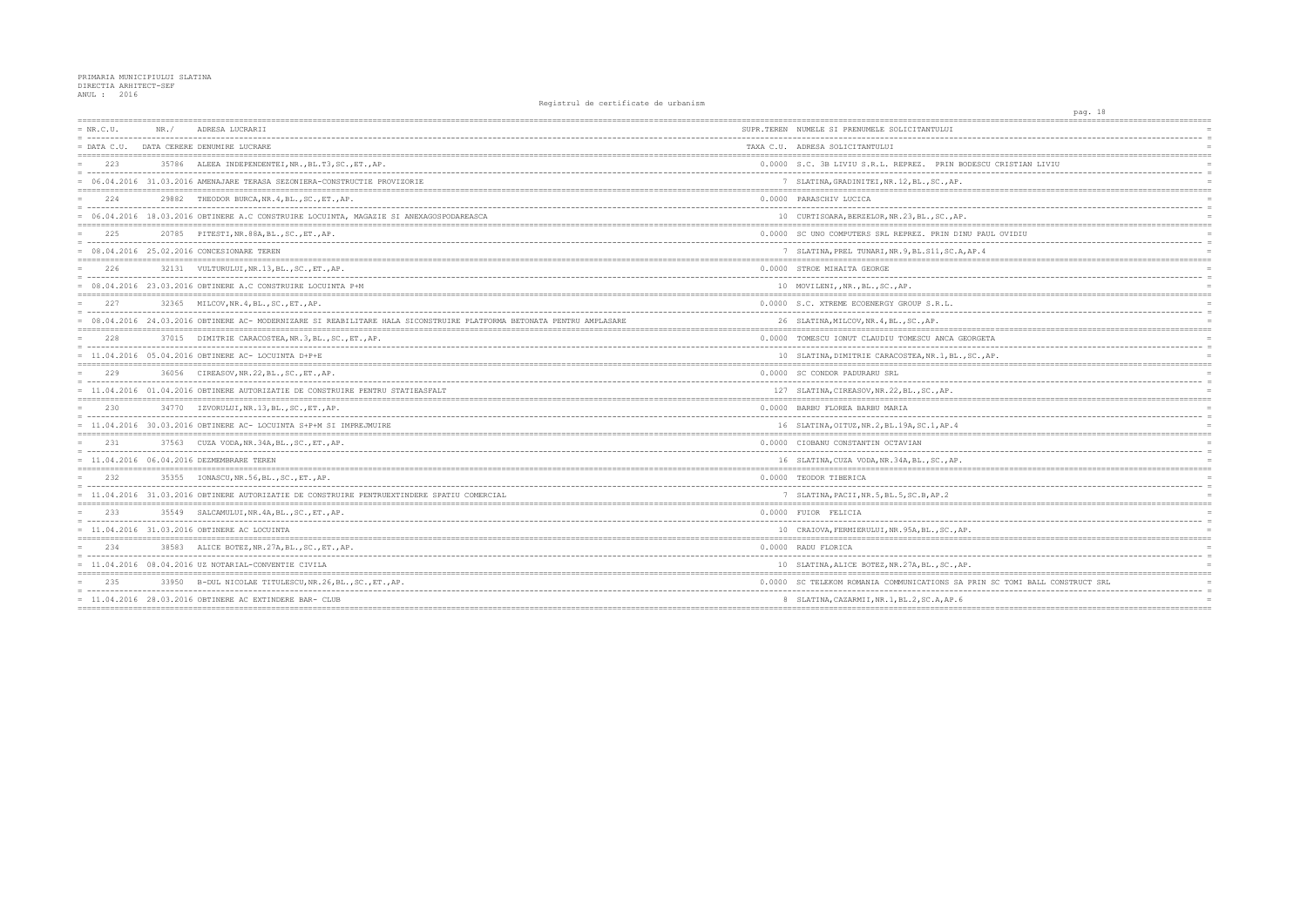| $= NR.C.U.$   | NR. / | ADRESA LUCRARII<br>-------------------------------------                                                            | SUPR.TEREN NUMELE SI PRENUMELE SOLICITANTULUI        |
|---------------|-------|---------------------------------------------------------------------------------------------------------------------|------------------------------------------------------|
| $=$ DATA C.U. |       | DATA CERERE DENUMIRE LUCRARE                                                                                        | TAXA C.U. ADRESA SOLICITANTULUI                      |
| 223           |       | 35786 ALEEA INDEPENDENTEI, NR., BL.T3, SC., ET., AP.                                                                | 0.0000 S.C. 3B LIVIU S.R.L. REPREZ. PRIN BODESC      |
|               |       | = 06.04.2016 31.03.2016 AMENAJARE TERASA SEZONIERA-CONSTRUCTIE PROVIZORIE                                           | 7 SLATINA, GRADINITEI, NR. 12, BL., SC., AP.         |
| 224           | 29882 | THEODOR BURCA, NR. 4, BL., SC., ET., AP.                                                                            | 0.0000 PARASCHIV LUCICA                              |
|               |       | = 06.04.2016 18.03.2016 OBTINERE A.C CONSTRUIRE LOCUINTA, MAGAZIE SI ANEXAGOSPODAREASCA                             | 10 CURTISOARA, BERZELOR, NR. 23, BL., SC., AP.       |
| 225           |       | 20785 PITESTI, NR.88A, BL., SC., ET., AP.                                                                           | 0.0000 SC UNO COMPUTERS SRL REPREZ. PRIN DINU PA     |
|               |       | 08.04.2016 25.02.2016 CONCESIONARE TEREN                                                                            | 7 SLATINA, PREL TUNARI, NR. 9, BL. S11, SC. A, AP. 4 |
| 226           |       | 32131 VULTURULUI, NR. 13, BL., SC., ET., AP.                                                                        | 0.0000 STROE MIHAITA GEORGE                          |
|               |       | 08.04.2016 23.03.2016 OBTINERE A.C CONSTRUIRE LOCUINTA P+M                                                          | 10 MOVILENI, , NR., BL., SC., AP.                    |
| 227           |       | 32365 MILCOV, NR. 4, BL., SC., ET., AP.                                                                             | 0.0000 S.C. XTREME ECOENERGY GROUP S.R.L.            |
|               |       | 08.04.2016 24.03.2016 OBTINERE AC- MODERNIZARE SI REABILITARE HALA SICONSTRUIRE PLATFORMA BETONATA PENTRU AMPLASARE | 26 SLATINA, MILCOV, NR. 4, BL., SC., AP.             |
| 228           |       | 37015 DIMITRIE CARACOSTEA, NR. 3, BL., SC., ET., AP.                                                                | 0.0000 TOMESCU IONUT CLAUDIU TOMESCU ANCA GEORGE     |
|               |       | $= 11.04.2016 05.04.2016$ OBTINERE AC- LOCUINTA D+P+E                                                               | 10 SLATINA, DIMITRIE CARACOSTEA, NR. 1, BL., SC.,    |
| 229           | 36056 | CIREASOV, NR. 22, BL., SC., ET., AP.                                                                                | 0.0000 SC CONDOR PADURARU SRL                        |
|               |       | = 11.04.2016 01.04.2016 OBTINERE AUTORIZATIE DE CONSTRUIRE PENTRU STATIEASFALT                                      | 127 SLATINA, CIREASOV, NR. 22, BL., SC., AP.         |
| 230           |       | 34770 IZVORULUI, NR.13, BL., SC., ET., AP.                                                                          | 0.0000 BARBU FLOREA BARBU MARIA                      |
|               |       | 11.04.2016 30.03.2016 OBTINERE AC- LOCUINTA S+P+M SI IMPREJMUIRE                                                    | 16 SLATINA, OITUZ, NR. 2, BL. 19A, SC. 1, AP. 4      |
| 2.31          |       | 37563 CUZA VODA, NR. 34A, BL., SC., ET., AP.                                                                        | 0.0000 CIOBANU CONSTANTIN OCTAVIAN                   |
|               |       | $= 11.04.2016 06.04.2016 DEZMEMBRARE TEREN$                                                                         | 16 SLATINA, CUZA VODA, NR. 34A, BL., SC., AP.        |
| 232           |       | 35355 IONASCU, NR.56, BL., SC., ET., AP.                                                                            | 0.0000 TEODOR TIBERICA                               |
|               |       | = 11.04.2016 31.03.2016 OBTINERE AUTORIZATIE DE CONSTRUIRE PENTRUEXTINDERE SPATIU COMERCIAL                         | 7 SLATINA, PACII, NR. 5, BL. 5, SC. B, AP. 2         |
| 233           |       | 35549 SALCAMULUI, NR. 4A, BL., SC., ET., AP.                                                                        | 0.0000 FUIOR FELICIA                                 |
|               |       | = 11.04.2016 31.03.2016 OBTINERE AC LOCUINTA                                                                        | 10 CRAIOVA, FERMIERULUI, NR. 95A, BL., SC., AP.      |
| 234           |       | 38583 ALICE BOTEZ, NR. 27A, BL., SC., ET., AP.                                                                      | 0.0000 RADU FLORICA                                  |
|               |       | $= 11.04.2016 08.04.2016 UZ NOTARIAL-convENTIE CIVILA$                                                              | 10 SLATINA, ALICE BOTEZ, NR. 27A, BL., SC., AP.      |
| 235           |       | 33950 B-DUL NICOLAE TITULESCU, NR. 26, BL., SC., ET., AP.                                                           | 0.0000 SC TELEKOM ROMANIA COMMUNICATIONS SA PRIN     |
|               |       | 11.04.2016 28.03.2016 OBTINERE AC EXTINDERE BAR- CLUB                                                               | 8 SLATINA, CAZARMII, NR. 1, BL. 2, SC. A, AP. 6      |
|               |       |                                                                                                                     |                                                      |

|                              | pag. 18 |                      |
|------------------------------|---------|----------------------|
|                              |         |                      |
|                              |         | $\equiv$             |
|                              |         | $\equiv$             |
| U CRISTIAN LIVIU             |         | $\equiv$             |
|                              |         | $\equiv$             |
|                              |         |                      |
|                              |         | $=$                  |
|                              |         | $\equiv$             |
|                              |         | $\equiv$             |
| UL OVIDIU                    |         |                      |
|                              |         | $\equiv$             |
|                              |         |                      |
|                              |         |                      |
|                              |         | $\equiv$<br>$\equiv$ |
|                              |         | $=$                  |
|                              |         |                      |
|                              |         | $\equiv$             |
|                              |         | $=$                  |
|                              |         |                      |
| TA:                          |         |                      |
| AP.                          |         | $\equiv$<br>$=$      |
|                              |         |                      |
|                              |         |                      |
|                              |         | $\equiv$<br>$=$      |
|                              |         |                      |
|                              |         |                      |
|                              |         | $\equiv$             |
|                              |         |                      |
|                              |         | $=$                  |
|                              |         | $\equiv$             |
|                              |         | $\equiv$             |
|                              |         |                      |
|                              |         | $\equiv$             |
|                              |         | $\equiv$             |
|                              |         |                      |
|                              |         | $\equiv$             |
|                              |         |                      |
|                              |         |                      |
|                              |         | $\equiv$             |
|                              |         |                      |
|                              |         |                      |
| I SC TOMI BALL CONSTRUCT SRL |         |                      |
|                              |         | $\equiv$             |
| ========                     |         |                      |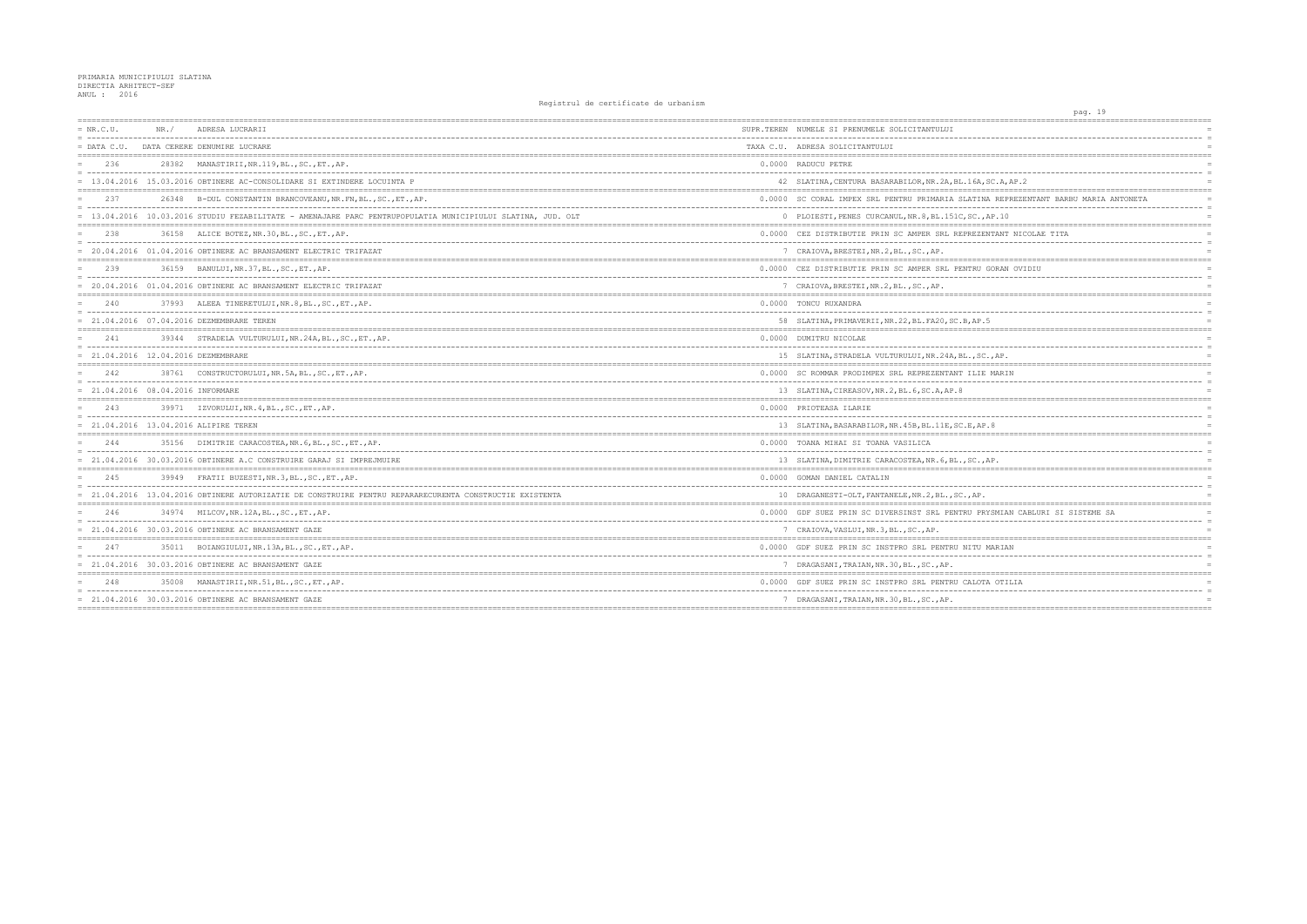| $= NR.C.U.$                           | NR. / | ADRESA LUCRARII                                                                                           | SUPR.TEREN NUMELE SI PRENUMELE SOLICITANTULUI        |
|---------------------------------------|-------|-----------------------------------------------------------------------------------------------------------|------------------------------------------------------|
| $=$ DATA C.U.                         |       | DATA CERERE DENUMIRE LUCRARE                                                                              | TAXA C.U. ADRESA SOLICITANTULUI                      |
| 236                                   |       | 28382 MANASTIRII, NR.119, BL., SC., ET., AP.                                                              | 0.0000 RADUCU PETRE                                  |
|                                       |       | 13.04.2016 15.03.2016 OBTINERE AC-CONSOLIDARE SI EXTINDERE LOCUINTA P                                     | 42 SLATINA, CENTURA BASARABILOR, NR. 2A, BL. 16A,    |
| 237                                   |       | 26348 B-DUL CONSTANTIN BRANCOVEANU, NR. FN, BL., SC., ET., AP.                                            | 0.0000 SC CORAL IMPEX SRL PENTRU PRIMARIA SLATIN     |
|                                       |       | 13.04.2016 10.03.2016 STUDIU FEZABILITATE - AMENAJARE PARC PENTRUPOPULATIA MUNICIPIULUI SLATINA, JUD. OLT | 0 PLOIESTI, PENES CURCANUL, NR. 8, BL. 151C, SC.,    |
| 238                                   |       | 36158 ALICE BOTEZ, NR. 30, BL., SC., ET., AP.                                                             | 0.0000 CEZ DISTRIBUTIE PRIN SC AMPER SRL REPREZE     |
|                                       |       | = 20.04.2016 01.04.2016 OBTINERE AC BRANSAMENT ELECTRIC TRIFAZAT                                          | 7 CRAIOVA, BRESTEI, NR.2, BL., SC., AP.              |
| 239                                   |       | 36159 BANULUI, NR. 37, BL., SC., ET., AP.                                                                 | 0.0000 CEZ DISTRIBUTIE PRIN SC AMPER SRL PENTRU      |
|                                       |       | 20.04.2016 01.04.2016 OBTINERE AC BRANSAMENT ELECTRIC TRIFAZAT                                            | 7 CRAIOVA, BRESTEI, NR.2, BL., SC., AP.              |
| 240                                   |       | 37993 ALEEA TINERETULUI, NR. 8, BL., SC., ET., AP.                                                        | 0.0000 TONCU RUXANDRA                                |
|                                       |       | 21.04.2016 07.04.2016 DEZMEMBRARE TEREN                                                                   | 58 SLATINA, PRIMAVERII, NR. 22, BL. FA20, SC. B, AP. |
| 2.41                                  |       | 39344 STRADELA VULTURULUI, NR.24A, BL., SC., ET., AP.                                                     | 0.0000 DUMITRU NICOLAE                               |
| $= 21.04.2016 12.04.2016 DEZMEMBRARE$ |       |                                                                                                           | 15 SLATINA, STRADELA VULTURULUI, NR. 24A, BL., SC    |
| 242                                   |       | 38761 CONSTRUCTORULUI, NR.5A, BL., SC., ET., AP.                                                          | 0.0000 SC ROMMAR PRODIMPEX SRL REPREZENTANT ILIE     |
| = 21.04.2016 08.04.2016 INFORMARE     |       |                                                                                                           | 13 SLATINA, CIREASOV, NR. 2, BL. 6, SC. A, AP. 8     |
| 243                                   |       | 39971 IZVORULUI, NR. 4, BL., SC., ET., AP.                                                                | 0.0000 PRIOTEASA ILARIE                              |
|                                       |       | 21.04.2016 13.04.2016 ALIPIRE TEREN                                                                       | 13 SLATINA, BASARABILOR, NR. 45B, BL. 11E, SC.E, AP  |
| 244                                   |       | 35156 DIMITRIE CARACOSTEA, NR. 6, BL., SC., ET., AP.                                                      | 0.0000 TOANA MIHAI SI TOANA VASILICA                 |
|                                       |       | = 21.04.2016 30.03.2016 OBTINERE A.C CONSTRUIRE GARAJ SI IMPREJMUIRE                                      | 13 SLATINA, DIMITRIE CARACOSTEA, NR. 6, BL., SC.,    |
| 245                                   |       | 39949 FRATII BUZESTI, NR. 3, BL., SC., ET., AP.                                                           | 0.0000 GOMAN DANIEL CATALIN                          |
|                                       |       | = 21.04.2016 13.04.2016 OBTINERE AUTORIZATIE DE CONSTRUIRE PENTRU REPARARECURENTA CONSTRUCTIE EXISTENTA   | 10 DRAGANESTI-OLT, FANTANELE, NR. 2, BL., SC., AP.   |
| 246                                   |       | 34974 MILCOV, NR. 12A, BL., SC., ET., AP.                                                                 | 0.0000 GDF SUEZ PRIN SC DIVERSINST SRL PENTRU PR     |
|                                       |       | = 21.04.2016 30.03.2016 OBTINERE AC BRANSAMENT GAZE                                                       | 7 CRAIOVA, VASLUI, NR. 3, BL., SC., AP.              |
| 247                                   |       | 35011 BOIANGIULUI, NR.13A, BL., SC., ET., AP.                                                             | 0.0000 GDF SUEZ PRIN SC INSTPRO SRL PENTRU NITU      |
|                                       |       | = 21.04.2016 30.03.2016 OBTINERE AC BRANSAMENT GAZE                                                       | 7 DRAGASANI, TRAIAN, NR. 30, BL., SC., AP.           |
| 248                                   | 35008 | MANASTIRII, NR.51, BL., SC., ET., AP.                                                                     | 0.0000 GDF SUEZ PRIN SC INSTPRO SRL PENTRU CALOT     |
|                                       |       | = 21.04.2016 30.03.2016 OBTINERE AC BRANSAMENT GAZE                                                       | 7 DRAGASANI, TRAIAN, NR. 30, BL., SC., AP.           |
|                                       |       |                                                                                                           |                                                      |

| pag. 19                                    |          |
|--------------------------------------------|----------|
|                                            |          |
| --------------------------                 |          |
|                                            |          |
|                                            |          |
| -----------------<br>----------<br>$- - -$ | $\equiv$ |
| SC.A, AP.2                                 |          |
|                                            |          |
| A REPREZENTANT BARBU MARIA ANTONETA        | $\equiv$ |
| AP.10                                      | $=$      |
| NTANT NICOLAE TITA                         |          |
|                                            |          |
|                                            |          |
|                                            |          |
| GORAN OVIDIU                               | $\equiv$ |
|                                            |          |
|                                            |          |
|                                            |          |
| 5                                          |          |
|                                            |          |
|                                            |          |
|                                            | $\equiv$ |
| .,AP.                                      | $=$      |
| MARIN                                      | $=$      |
|                                            | $\equiv$ |
|                                            |          |
|                                            |          |
|                                            | $\equiv$ |
| . 8                                        |          |
|                                            |          |
|                                            | $\equiv$ |
| AΡ.                                        |          |
| ==========<br>---------------------------  |          |
| -----------------------------<br>$--$      |          |
|                                            |          |
|                                            |          |
| YSMIAN CABLURI SI SISTEME SA               |          |
|                                            | $\equiv$ |
|                                            |          |
| <b>ARIAN</b>                               |          |
|                                            | $\equiv$ |
|                                            | $=$      |
| $= 100$<br>A OTILIA                        |          |
|                                            |          |
|                                            | $=$      |
|                                            |          |